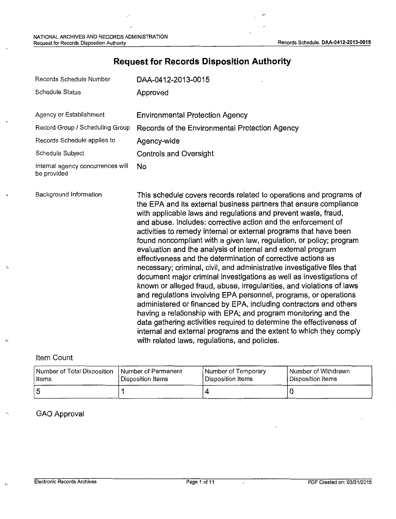# **Request for Records Disposition Authority**

| Records Schedule Number                          | DAA-0412-2013-0015                                                                                                                                                                                                                                                                                                                                                                                                                                                                                                                                                                                                                                                                                                                                                                                                                                                                                                                                                                                                                                                                                                                                                                          |
|--------------------------------------------------|---------------------------------------------------------------------------------------------------------------------------------------------------------------------------------------------------------------------------------------------------------------------------------------------------------------------------------------------------------------------------------------------------------------------------------------------------------------------------------------------------------------------------------------------------------------------------------------------------------------------------------------------------------------------------------------------------------------------------------------------------------------------------------------------------------------------------------------------------------------------------------------------------------------------------------------------------------------------------------------------------------------------------------------------------------------------------------------------------------------------------------------------------------------------------------------------|
| <b>Schedule Status</b>                           | Approved                                                                                                                                                                                                                                                                                                                                                                                                                                                                                                                                                                                                                                                                                                                                                                                                                                                                                                                                                                                                                                                                                                                                                                                    |
| Agency or Establishment                          | <b>Environmental Protection Agency</b>                                                                                                                                                                                                                                                                                                                                                                                                                                                                                                                                                                                                                                                                                                                                                                                                                                                                                                                                                                                                                                                                                                                                                      |
| Record Group / Scheduling Group                  | Records of the Environmental Protection Agency                                                                                                                                                                                                                                                                                                                                                                                                                                                                                                                                                                                                                                                                                                                                                                                                                                                                                                                                                                                                                                                                                                                                              |
| Records Schedule applies to                      | Agency-wide                                                                                                                                                                                                                                                                                                                                                                                                                                                                                                                                                                                                                                                                                                                                                                                                                                                                                                                                                                                                                                                                                                                                                                                 |
| Schedule Subject                                 | <b>Controls and Oversight</b>                                                                                                                                                                                                                                                                                                                                                                                                                                                                                                                                                                                                                                                                                                                                                                                                                                                                                                                                                                                                                                                                                                                                                               |
| Internal agency concurrences will<br>be provided | No                                                                                                                                                                                                                                                                                                                                                                                                                                                                                                                                                                                                                                                                                                                                                                                                                                                                                                                                                                                                                                                                                                                                                                                          |
| Background Information                           | This schedule covers records related to operations and programs of<br>the EPA and its external business partners that ensure compliance<br>with applicable laws and regulations and prevent waste, fraud,<br>and abuse. Includes: corrective action and the enforcement of<br>activities to remedy internal or external programs that have been<br>found noncompliant with a given law, regulation, or policy; program<br>evaluation and the analysis of internal and external program<br>effectiveness and the determination of corrective actions as<br>necessary; criminal, civil, and administrative investigative files that<br>document major criminal investigations as well as investigations of<br>known or alleged fraud, abuse, irregularities, and violations of laws<br>and regulations involving EPA personnel, programs, or operations<br>administered or financed by EPA, including contractors and others<br>having a relationship with EPA; and program monitoring and the<br>data gathering activities required to determine the effectiveness of<br>internal and external programs and the extent to which they comply<br>with related laws, regulations, and policies. |

Item Count

 $\hat{\boldsymbol{\upsilon}}$ 

| Number of Total Disposition   Number of Permanent<br>Items | Disposition Items | Number of Temporary<br>Disposition Items | l Number of Withdrawn<br>l Disposition Items |
|------------------------------------------------------------|-------------------|------------------------------------------|----------------------------------------------|
|                                                            |                   |                                          |                                              |

GAO Approval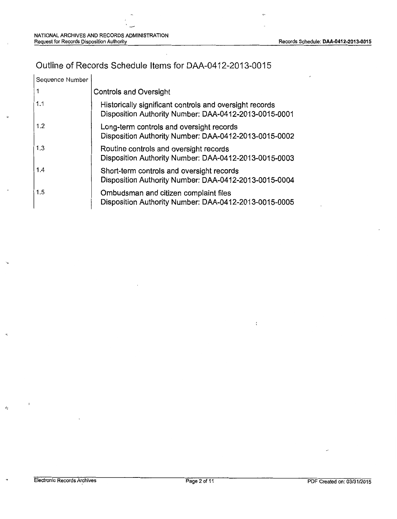## Outline of Records Schedule Items for DM-0412-2013-0015

| Sequence Number |                                                                                                                  |
|-----------------|------------------------------------------------------------------------------------------------------------------|
|                 | Controls and Oversight                                                                                           |
| 1.1             | Historically significant controls and oversight records<br>Disposition Authority Number: DAA-0412-2013-0015-0001 |
| 1.2             | Long-term controls and oversight records<br>Disposition Authority Number: DAA-0412-2013-0015-0002                |
| 1.3             | Routine controls and oversight records<br>Disposition Authority Number: DAA-0412-2013-0015-0003                  |
| 1.4             | Short-term controls and oversight records<br>Disposition Authority Number: DAA-0412-2013-0015-0004               |
| 1.5             | Ombudsman and citizen complaint files<br>Disposition Authority Number: DAA-0412-2013-0015-0005                   |

 $\Lambda$ 

 $\mathfrak{c}$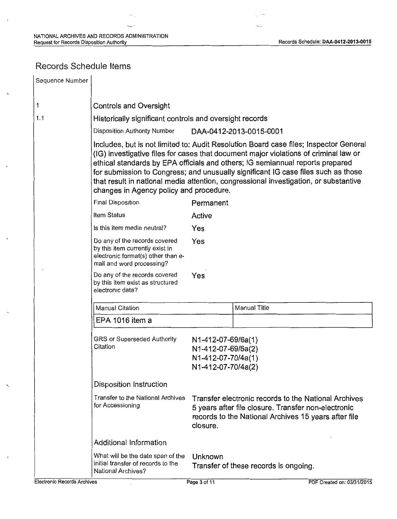'---

## Records Schedule Items

| Sequence Number |                                                                                                                                                                                                                                                                                                                                                                                                                                                                                        |                                                                                      |                                                                                                                                                                     |  |
|-----------------|----------------------------------------------------------------------------------------------------------------------------------------------------------------------------------------------------------------------------------------------------------------------------------------------------------------------------------------------------------------------------------------------------------------------------------------------------------------------------------------|--------------------------------------------------------------------------------------|---------------------------------------------------------------------------------------------------------------------------------------------------------------------|--|
| 1               | <b>Controls and Oversight</b>                                                                                                                                                                                                                                                                                                                                                                                                                                                          |                                                                                      |                                                                                                                                                                     |  |
| 1.1             | Historically significant controls and oversight records                                                                                                                                                                                                                                                                                                                                                                                                                                |                                                                                      |                                                                                                                                                                     |  |
|                 | <b>Disposition Authority Number</b>                                                                                                                                                                                                                                                                                                                                                                                                                                                    |                                                                                      | DAA-0412-2013-0015-0001                                                                                                                                             |  |
|                 | Includes, but is not limited to: Audit Resolution Board case files; Inspector General<br>(IG) investigative files for cases that document major violations of criminal law or<br>ethical standards by EPA officials and others; IG semiannual reports prepared<br>for submission to Congress; and unusually significant IG case files such as those<br>that result in national media attention, congressional investigation, or substantive<br>changes in Agency policy and procedure. |                                                                                      |                                                                                                                                                                     |  |
|                 | Final Disposition                                                                                                                                                                                                                                                                                                                                                                                                                                                                      | Permanent                                                                            |                                                                                                                                                                     |  |
|                 | Item Status                                                                                                                                                                                                                                                                                                                                                                                                                                                                            | Active                                                                               |                                                                                                                                                                     |  |
|                 | Is this item media neutral?                                                                                                                                                                                                                                                                                                                                                                                                                                                            | Yes                                                                                  |                                                                                                                                                                     |  |
|                 | Do any of the records covered<br>by this item currently exist in<br>electronic format(s) other than e-<br>mail and word processing?                                                                                                                                                                                                                                                                                                                                                    | Yes                                                                                  |                                                                                                                                                                     |  |
|                 | Do any of the records covered<br>by this item exist as structured<br>electronic data?                                                                                                                                                                                                                                                                                                                                                                                                  | Yes                                                                                  |                                                                                                                                                                     |  |
|                 | <b>Manual Citation</b>                                                                                                                                                                                                                                                                                                                                                                                                                                                                 |                                                                                      | <b>Manual Title</b>                                                                                                                                                 |  |
|                 | EPA 1016 item a                                                                                                                                                                                                                                                                                                                                                                                                                                                                        |                                                                                      |                                                                                                                                                                     |  |
|                 | GRS or Superseded Authority<br>Citation                                                                                                                                                                                                                                                                                                                                                                                                                                                | N1-412-07-69/6a(1)<br>N1-412-07-69/6a(2)<br>N1-412-07-70/4a(1)<br>N1-412-07-70/4a(2) |                                                                                                                                                                     |  |
|                 | <b>Disposition Instruction</b>                                                                                                                                                                                                                                                                                                                                                                                                                                                         |                                                                                      |                                                                                                                                                                     |  |
|                 | Transfer to the National Archives<br>for Accessioning                                                                                                                                                                                                                                                                                                                                                                                                                                  | closure.                                                                             | Transfer electronic records to the National Archives<br>5 years after file closure. Transfer non-electronic<br>records to the National Archives 15 years after file |  |
|                 | Additional Information                                                                                                                                                                                                                                                                                                                                                                                                                                                                 |                                                                                      |                                                                                                                                                                     |  |
|                 | What will be the date span of the<br>initial transfer of records to the<br>National Archives?                                                                                                                                                                                                                                                                                                                                                                                          | Unknown                                                                              | Transfer of these records is ongoing.                                                                                                                               |  |

÷,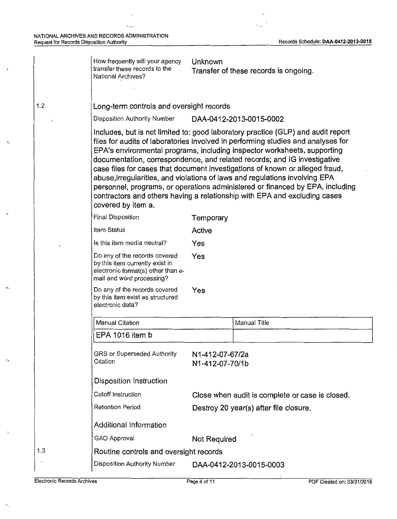1.2

'>\_-,

.-,

 $\psi_{\perp}$ 

 $\alpha$  .

| How frequently will your agency<br>transfer these records to the<br>National Archives?                                              | Unknown                            | Transfer of these records is ongoing.                                                                                                                                                                                                                                                                                                                                                                                                                                                                                                                                                                                                                     |
|-------------------------------------------------------------------------------------------------------------------------------------|------------------------------------|-----------------------------------------------------------------------------------------------------------------------------------------------------------------------------------------------------------------------------------------------------------------------------------------------------------------------------------------------------------------------------------------------------------------------------------------------------------------------------------------------------------------------------------------------------------------------------------------------------------------------------------------------------------|
| Long-term controls and oversight records                                                                                            |                                    |                                                                                                                                                                                                                                                                                                                                                                                                                                                                                                                                                                                                                                                           |
| Disposition Authority Number                                                                                                        |                                    | DAA-0412-2013-0015-0002                                                                                                                                                                                                                                                                                                                                                                                                                                                                                                                                                                                                                                   |
| covered by item a.                                                                                                                  |                                    | Includes, but is not limited to: good laboratory practice (GLP) and audit report<br>files for audits of laboratories involved in performing studies and analyses for<br>EPA's environmental programs, including inspector worksheets, supporting<br>documentation, correspondence, and related records; and IG investigative<br>case files for cases that document investigations of known or alleged fraud,<br>abuse, irregularities, and violations of laws and regulations involving EPA<br>personnel, programs, or operations administered or financed by EPA, including<br>contractors and others having a relationship with EPA and excluding cases |
| Final Disposition                                                                                                                   | Temporary                          |                                                                                                                                                                                                                                                                                                                                                                                                                                                                                                                                                                                                                                                           |
| Item Status                                                                                                                         | Active                             |                                                                                                                                                                                                                                                                                                                                                                                                                                                                                                                                                                                                                                                           |
| Is this item media neutral?                                                                                                         | Yes                                |                                                                                                                                                                                                                                                                                                                                                                                                                                                                                                                                                                                                                                                           |
| Do any of the records covered<br>by this item currently exist in<br>electronic format(s) other than e-<br>mail and word processing? | Yes                                |                                                                                                                                                                                                                                                                                                                                                                                                                                                                                                                                                                                                                                                           |
| Do any of the records covered<br>by this item exist as structured<br>electronic data?                                               | Yes                                |                                                                                                                                                                                                                                                                                                                                                                                                                                                                                                                                                                                                                                                           |
| Manual Citation                                                                                                                     |                                    | Manual Title                                                                                                                                                                                                                                                                                                                                                                                                                                                                                                                                                                                                                                              |
| EPA 1016 item b                                                                                                                     |                                    |                                                                                                                                                                                                                                                                                                                                                                                                                                                                                                                                                                                                                                                           |
| GRS or Superseded Authority<br>Citation                                                                                             | N1-412-07-67/2a<br>N1-412-07-70/1b |                                                                                                                                                                                                                                                                                                                                                                                                                                                                                                                                                                                                                                                           |
| Disposition Instruction                                                                                                             |                                    |                                                                                                                                                                                                                                                                                                                                                                                                                                                                                                                                                                                                                                                           |
| <b>Cutoff Instruction</b>                                                                                                           |                                    | Close when audit is complete or case is closed.                                                                                                                                                                                                                                                                                                                                                                                                                                                                                                                                                                                                           |
| Retention Period                                                                                                                    |                                    | Destroy 20 year(s) after file closure.                                                                                                                                                                                                                                                                                                                                                                                                                                                                                                                                                                                                                    |
| Additional Information                                                                                                              |                                    |                                                                                                                                                                                                                                                                                                                                                                                                                                                                                                                                                                                                                                                           |
| GAO Approval                                                                                                                        | Not Required                       |                                                                                                                                                                                                                                                                                                                                                                                                                                                                                                                                                                                                                                                           |
| Routine controls and oversight records                                                                                              |                                    |                                                                                                                                                                                                                                                                                                                                                                                                                                                                                                                                                                                                                                                           |
| Disposition Authority Number                                                                                                        |                                    | DAA-0412-2013-0015-0003                                                                                                                                                                                                                                                                                                                                                                                                                                                                                                                                                                                                                                   |

1.3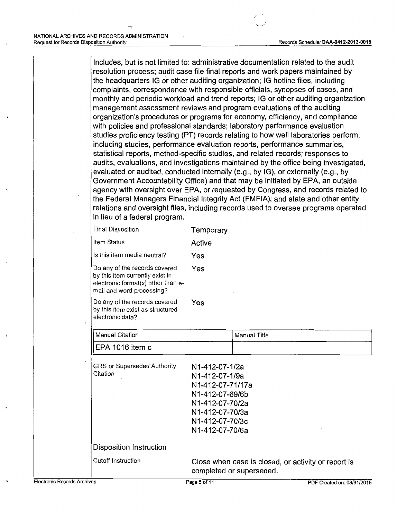Includes, but is not limited to: administrative documentation related to the audit resolution process; audit case file final reports and work papers maintained by the headquarters IG or other auditing organization; IG hotline files, including complaints, correspondence with responsible officials, synopses of cases, and monthly and periodic workload and trend reports; IG or other auditing organization management assessment reviews and program evaluations of the auditing organization's procedures or programs for economy, efficiency, and compliance with policies and professional standards; laboratory performance evaluation studies proficiency testing (PT) records relating to how well laboratories perform, including studies, performance evaluation reports, performance summaries, statistical reports, method-specific studies, and related records; responses to audits, evaluations, and investigations maintained by the office being investigated, evaluated or audited, conducted internally (e.g., by IG), or externally (e.g., by Government Accountability Office) and that may be initiated by EPA, an outside agency with oversight over EPA, or requested by Congress, and records related to the Federal Managers Financial Integrity Act (FMFIA); and state and other entity relations and oversight files, including records used to oversee programs operated in lieu of a federal program.

| <b>Final Disposition</b>                                                                                                            | Temporary |
|-------------------------------------------------------------------------------------------------------------------------------------|-----------|
| ltem Status                                                                                                                         | Active    |
| Is this item media neutral?                                                                                                         | Yes       |
| Do any of the records covered<br>by this item currently exist in<br>electronic format(s) other than e-<br>mail and word processing? | Yes       |
| Do any of the records covered<br>by this item exist as structured<br>electronic data?                                               | Yes       |
| <b>Manual Citation</b>                                                                                                              |           |
| EPA 1016 item c                                                                                                                     |           |

| Cutoff Instruction                             | Close when case is closed, or activity or report is<br>completed or superseded.                                 |  |
|------------------------------------------------|-----------------------------------------------------------------------------------------------------------------|--|
| Disposition Instruction                        |                                                                                                                 |  |
|                                                | N1-412-07-71/17a<br>N1-412-07-69/6b<br>N1-412-07-70/2a<br>N1-412-07-70/3a<br>N1-412-07-70/3c<br>N1-412-07-70/6a |  |
| <b>GRS or Superseded Authority</b><br>Citation | N1-412-07-1/2a<br>N1-412-07-1/9a                                                                                |  |

Manual Title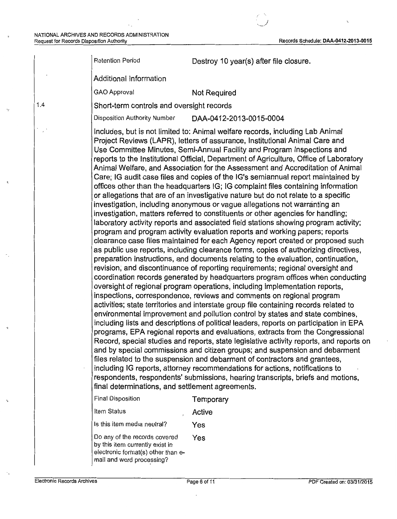1.4

•.

Retention Period **Destroy 10 year(s)** after file closure.

Additional Information

GAO Approval Not Required

Short-term controls and oversight records

Disposition Authority Number DAA-0412-20 13-0015-0004

Includes, but is not limited to: Animal welfare records, including Lab Animal Project Reviews (LAPR), letters of assurance, Institutional Animal Care and Use Committee Minutes, Semi-Annual Facility and Program Inspections and reports to the Institutional Official, Department of Agriculture, Office of Laboratory Animal Welfare, and Association for the Assessment and Accreditation of Animal Care; IG audit case files and copies of the IG's semiannual report maintained by offices other than the headquarters IG; IG complaint files containing information or allegations that are of an investigative nature but do not relate to a specific investigation, including anonymous or vague allegations not warranting an investigation, matters referred to constituents or other agencies for handling; laboratory activity reports and associated field stations showing program activity; program and program activity evaluation reports and working papers; reports clearance case files maintained for each Agency report created or proposed such as public use reports, including clearance forms, copies of authorizing directives, preparation instructions, and documents relating to the evaluation, continuation, revision; and discontinuance of reporting requirements; regional oversight and coordination records generated by headquarters program offices when conducting oversight of regional program operations, including implementation reports, inspections, correspondence, reviews and comments on regional program activities; state territories and interstate group file containing records related to environmental improvement and pollution control by states and state combines, including lists and descriptions of political leaders, reports on participation in·EPA programs, EPA regional reports and evaluations, extracts from the Congressional Record, special studies and reports, state legislative activity reports, and reports on and by special commissions and citizen groups; and suspension and debarment files related to the suspension and debarment of contractors and grantees, including IG reports, attorney recommendations for actions, notifications to respondents, respondents' submissions, hearing transcripts, briefs and motions, final determinations, and settlement agreements.

Final Disposition Temporary Item Status **Active** Is this item media neutral? Yes Do any of the records covered Yes by this item currently exist in electronic format(s) other than email and word processing?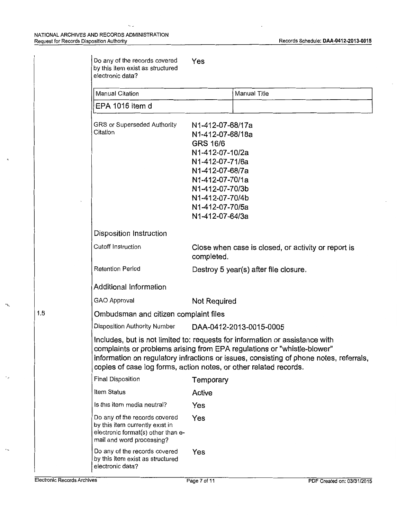k.

| Do any of the records covered<br>by this item exist as structured<br>electronic data?                                               | Yes                                                                                                                                                                                                                                                                                                                    |
|-------------------------------------------------------------------------------------------------------------------------------------|------------------------------------------------------------------------------------------------------------------------------------------------------------------------------------------------------------------------------------------------------------------------------------------------------------------------|
| <b>Manual Citation</b>                                                                                                              | Manual Title                                                                                                                                                                                                                                                                                                           |
| EPA 1016 item d                                                                                                                     |                                                                                                                                                                                                                                                                                                                        |
| GRS or Superseded Authority<br>Citation                                                                                             | N1-412-07-68/17a<br>N1-412-07-68/18a<br><b>GRS 16/6</b><br>N1-412-07-10/2a<br>N1-412-07-71/6a<br>N1-412-07-68/7a<br>N1-412-07-70/1a<br>N1-412-07-70/3b<br>N1-412-07-70/4b<br>N1-412-07-70/5a<br>N1-412-07-64/3a                                                                                                        |
| Disposition Instruction                                                                                                             |                                                                                                                                                                                                                                                                                                                        |
| Cutoff Instruction                                                                                                                  | Close when case is closed, or activity or report is<br>completed.                                                                                                                                                                                                                                                      |
| <b>Retention Period</b>                                                                                                             | Destroy 5 year(s) after file closure.                                                                                                                                                                                                                                                                                  |
| Additional Information                                                                                                              |                                                                                                                                                                                                                                                                                                                        |
| <b>GAO Approval</b>                                                                                                                 | <b>Not Required</b>                                                                                                                                                                                                                                                                                                    |
| Ombudsman and citizen complaint files                                                                                               |                                                                                                                                                                                                                                                                                                                        |
| Disposition Authority Number                                                                                                        | DAA-0412-2013-0015-0005                                                                                                                                                                                                                                                                                                |
|                                                                                                                                     | Includes, but is not limited to: requests for information or assistance with<br>complaints or problems arising from EPA regulations or "whistle-blower"<br>information on regulatory infractions or issues, consisting of phone notes, referrals,<br>copies of case log forms, action notes, or other related records. |
| Final Disposition                                                                                                                   | Temporary                                                                                                                                                                                                                                                                                                              |
| Item Status                                                                                                                         | Active                                                                                                                                                                                                                                                                                                                 |
| Is this item media neutral?                                                                                                         | Yes                                                                                                                                                                                                                                                                                                                    |
| Do any of the records covered<br>by this item currently exist in<br>electronic format(s) other than e-<br>mail and word processing? | Yes                                                                                                                                                                                                                                                                                                                    |
| Do any of the records covered<br>by this item exist as structured<br>electronic data?                                               | Yes                                                                                                                                                                                                                                                                                                                    |

1.5

-~

 $\ddot{\phantom{0}}$ 

 $\overline{a}$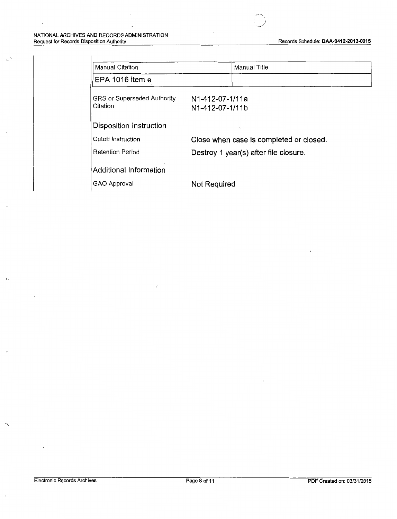$\mathbb{R}^N$ 

 $\overline{\cdot}$ 

| <b>Manual Citation</b>                  | Manual Title                                    |  |
|-----------------------------------------|-------------------------------------------------|--|
| EPA 1016 item e                         |                                                 |  |
| GRS or Superseded Authority<br>Citation | N1-412-07-1/11a<br>N <sub>1</sub> -412-07-1/11b |  |
| Disposition Instruction                 |                                                 |  |
| Cutoff Instruction                      | Close when case is completed or closed.         |  |
| <b>Retention Period</b>                 | Destroy 1 year(s) after file closure.           |  |
| Additional Information                  |                                                 |  |
| GAO Approval                            | Not Required                                    |  |

 $\overline{\phantom{a}}$ :. *)* 

 $\overline{1}$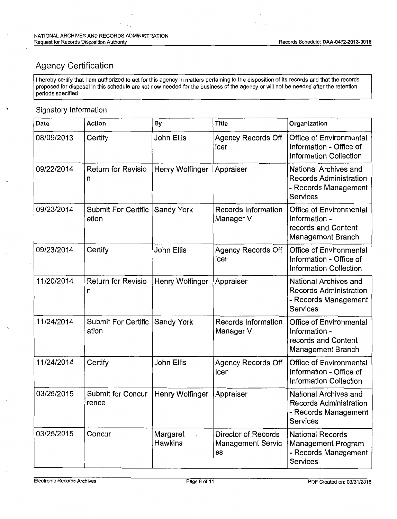# Agency Certification

I hereby certify that I am authorized to act for this agency in matters pertaining to the disposition of its records and that the records proposed for disposal in this schedule are not now needed for the business of the agency or will not be needed after the retention periods specified.

### Signatory Information

| Date       | Action                              | By                         | <b>Title</b>                                                 | Organization                                                                                      |
|------------|-------------------------------------|----------------------------|--------------------------------------------------------------|---------------------------------------------------------------------------------------------------|
| 08/09/2013 | Certify                             | John Ellis                 | <b>Agency Records Off</b><br>icer                            | Office of Environmental<br>Information - Office of<br><b>Information Collection</b>               |
| 09/22/2014 | Return for Revisio<br>n             | Henry Wolfinger            | Appraiser                                                    | National Archives and<br><b>Records Administration</b><br>- Records Management<br><b>Services</b> |
| 09/23/2014 | <b>Submit For Certific</b><br>ation | Sandy York                 | Records Information<br>Manager V                             | Office of Environmental<br>Information -<br>records and Content<br>Management Branch              |
| 09/23/2014 | Certify                             | John Ellis                 | <b>Agency Records Off</b><br>icer                            | Office of Environmental<br>Information - Office of<br><b>Information Collection</b>               |
| 11/20/2014 | <b>Return for Revisio</b><br>n      | Henry Wolfinger            | Appraiser                                                    | National Archives and<br><b>Records Administration</b><br>- Records Management<br>Services        |
| 11/24/2014 | <b>Submit For Certific</b><br>ation | Sandy York                 | Records Information<br>Manager V                             | Office of Environmental<br>Information -<br>records and Content<br>Management Branch              |
| 11/24/2014 | Certify                             | John Ellis                 | <b>Agency Records Off</b><br>icer                            | Office of Environmental<br>Information - Office of<br><b>Information Collection</b>               |
| 03/25/2015 | Submit for Concur<br>rence          | Henry Wolfinger            | Appraiser                                                    | National Archives and<br><b>Records Administration</b><br>- Records Management<br>Services        |
| 03/25/2015 | Concur                              | Margaret<br><b>Hawkins</b> | <b>Director of Records</b><br><b>Management Servic</b><br>es | <b>National Records</b><br>Management Program<br>- Records Management<br><b>Services</b>          |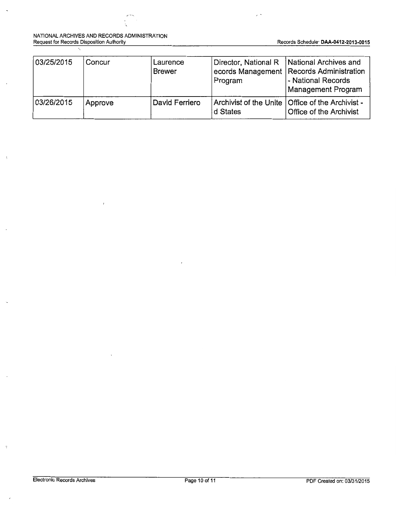#### NATIONAL ARCHIVES AND RECORDS ADMINISTRATION Request for Records Disposition Authority Records Schedule<sup>.</sup> DAA-0412-2013-0015

 $\lambda$ 

| 03/25/2015 | Concur  | Laurence<br><b>Brewer</b> | Director, National R<br>Program | National Archives and<br>ecords Management   Records Administration<br>- National Records<br>Management Program |
|------------|---------|---------------------------|---------------------------------|-----------------------------------------------------------------------------------------------------------------|
| 03/26/2015 | Approve | David Ferriero            | d States                        | Archivist of the Unite   Office of the Archivist -<br>Office of the Archivist                                   |

 $\overline{\phantom{a}}$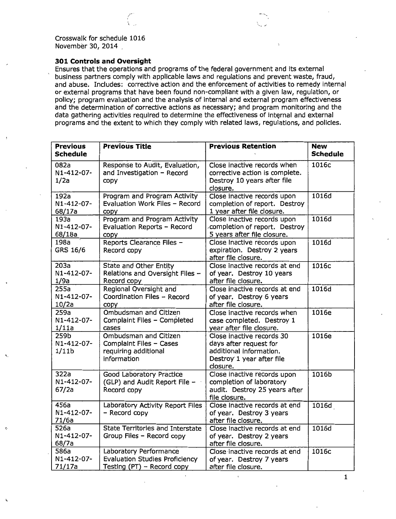$\cdot$  -

### **301 Controls and Oversight**

Ensures that the operations and programs of the federal government and its external business partners comply with applicable laws and regulations and prevent waste, fraud, and abuse. Includes: corrective action and the enforcement of activities to remedy internal or external programs that have been found non-compliant with a given law, regulation, or policy; program evaluation and the analysis of internal and external program effectiveness and the determination of corrective actions as necessary; and program monitoring and the data gathering activities required to determine the effectiveness of internal and external programs and the extent to which they comply with related laws, regulations, and policies.

| <b>Previous</b><br><b>Schedule</b>      | <b>Previous Title</b>                                                                         | <b>Previous Retention</b>                                                                                               | <b>New</b><br><b>Schedule</b> |
|-----------------------------------------|-----------------------------------------------------------------------------------------------|-------------------------------------------------------------------------------------------------------------------------|-------------------------------|
| 082a<br>N1-412-07-<br>1/2a              | Response to Audit, Evaluation,<br>and Investigation - Record<br>copy                          | Close inactive records when<br>corrective action is complete.<br>Destroy 10 years after file<br>closure.                | 1016c                         |
| 192a<br>N1-412-07-<br>68/17a            | Program and Program Activity<br>Evaluation Work Files - Record<br>CODY                        | Close inactive records upon<br>completion of report. Destroy<br>1 year after file closure.                              | 1016d                         |
| 193a<br>N1-412-07-<br>68/18a            | Program and Program Activity<br>Evaluation Reports - Record<br>copy                           | Close inactive records upon<br>completion of report. Destroy<br>5 years after file closure.                             | 1016d                         |
| 198a<br>GRS 16/6                        | Reports Clearance Files -<br>Record copy                                                      | Close inactive records upon<br>expiration. Destroy 2 years<br>after file closure.                                       | 1016d                         |
| 203a<br>N1-412-07-<br>1/9a              | State and Other Entity<br>Relations and Oversight Files -<br>Record copy                      | Close inactive records at end<br>of year. Destroy 10 years<br>after file closure.                                       | 1016c                         |
| 255a<br>N1-412-07-<br>10/2a             | Regional Oversight and<br>Coordination Files - Record<br>copy                                 | Close inactive records at end<br>of year. Destroy 6 years<br>after file closure.                                        | 1016d                         |
| 259a<br>N1-412-07-<br>1/11a             | <b>Ombudsman and Citizen</b><br>Complaint Files - Completed<br>cases                          | Close inactive records when<br>case completed. Destroy 1<br>year after file closure.                                    | 1016e                         |
| 259b<br>N1-412-07-<br>1/11 <sub>b</sub> | Ombudsman and Citizen<br>Complaint Files - Cases<br>requiring additional<br>information       | Close inactive records 30<br>days after request for<br>additional information.<br>Destroy 1 year after file<br>closure. | 1016e                         |
| 322a<br>N1-412-07-<br>67/2a             | Good Laboratory Practice<br>(GLP) and Audit Report File -<br>Record copy                      | Close inactive records upon<br>completion of laboratory<br>audit. Destroy 25 years after<br>file closure.               | 1016b                         |
| 456a<br>N1-412-07-<br>71/6a             | Laboratory Activity Report Files<br>- Record copy                                             | Close inactive records at end<br>of year. Destroy 3 years<br>after file closure.                                        | 1016d                         |
| 526a<br>N1-412-07-<br>68/7a             | State Territories and Interstate<br>Group Files - Record copy                                 | Close inactive records at end<br>of year. Destroy 2 years<br>after file closure.                                        | 1016d                         |
| 586a<br>N1-412-07-<br>71/17a            | Laboratory Performance<br><b>Evaluation Studies Proficiency</b><br>Testing (PT) - Record copy | Close inactive records at end<br>of year. Destroy 7 years<br>after file closure.                                        | 1016c                         |

1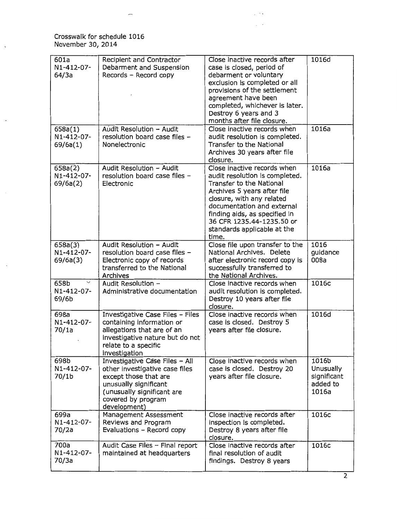Crosswalk for schedule 1016 November 30, 2014

 $\bar{t}$ 

| 601a<br>N1-412-07-<br>64/3a                 | Recipient and Contractor<br>Debarment and Suspension<br>Records - Record copy                                                                                                          | Close inactive records after<br>case is closed, period of<br>debarment or voluntary<br>exclusion is completed or all<br>provisions of the settlement<br>agreement have been<br>completed, whichever is later.<br>Destroy 6 years and 3<br>months after file closure.                      | 1016d                                                  |
|---------------------------------------------|----------------------------------------------------------------------------------------------------------------------------------------------------------------------------------------|-------------------------------------------------------------------------------------------------------------------------------------------------------------------------------------------------------------------------------------------------------------------------------------------|--------------------------------------------------------|
| 658a(1)<br>N1-412-07-<br>69/6a(1)           | Audit Resolution - Audit<br>resolution board case files -<br>Nonelectronic                                                                                                             | Close inactive records when<br>audit resolution is completed.<br>Transfer to the National<br>Archives 30 years after file<br>closure.                                                                                                                                                     | 1016a                                                  |
| 658a(2)<br>N1-412-07-<br>69/6a(2)           | Audit Resolution - Audit<br>resolution board case files -<br>Electronic                                                                                                                | Close inactive records when<br>audit resolution is completed.<br>Transfer to the National<br>Archives 5 years after file<br>closure, with any related<br>documentation and external<br>finding aids, as specified in<br>36 CFR 1235.44-1235.50 or<br>standards applicable at the<br>time. | 1016a                                                  |
| 658a(3)<br>N1-412-07-<br>69/6a(3)           | Audit Resolution - Audit<br>resolution board case files -<br>Electronic copy of records<br>transferred to the National<br>Archives                                                     | Close file upon transfer to the<br>National Archives. Delete<br>after electronic record copy is<br>successfully transferred to<br>the National Archives.                                                                                                                                  | 1016<br>guidance<br>008a                               |
| $\checkmark$<br>658b<br>N1-412-07-<br>69/6b | Audit Resolution -<br>Administrative documentation                                                                                                                                     | Close inactive records when<br>audit resolution is completed.<br>Destroy 10 years after file<br>closure.                                                                                                                                                                                  | 1016c                                                  |
| 698a<br>N1-412-07-<br>70/1a                 | Investigative Case Files - Files<br>containing information or<br>allegations that are of an<br>investigative nature but do not<br>relate to a specific<br>investigation                | Close inactive records when<br>case is closed. Destroy 5<br>years after file closure.                                                                                                                                                                                                     | 1016d                                                  |
| 698b<br>N1-412-07-<br>70/1b                 | Investigative Case Files - All<br>other investigative case files<br>except those that are<br>unusually significant<br>(unusually significant are<br>covered by program<br>development) | Close inactive records when<br>case is closed. Destroy 20<br>years after file closure.                                                                                                                                                                                                    | 1016b<br>Unusually<br>significant<br>added to<br>1016a |
| 699a<br>N1-412-07-<br>70/2a                 | Management Assessment<br>Reviews and Program<br>Evaluations - Record copy                                                                                                              | Close inactive records after<br>inspection is completed.<br>Destroy 8 years after file<br>closure.                                                                                                                                                                                        | 1016c                                                  |
| 700a<br>N1-412-07-<br>70/3a                 | Audit Case Files - Final report<br>maintained at headquarters                                                                                                                          | Close inactive records after<br>final resolution of audit<br>findings. Destroy 8 years                                                                                                                                                                                                    | 1016c                                                  |

 $\ddot{\phantom{a}}$